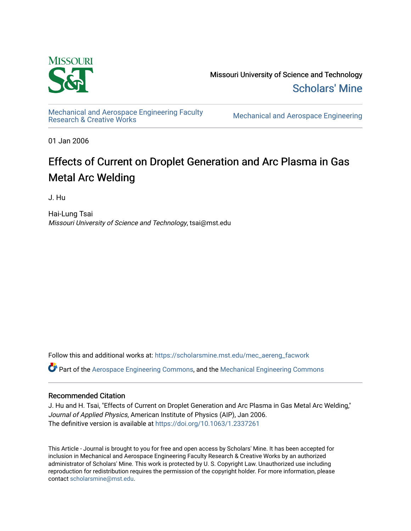

Missouri University of Science and Technology [Scholars' Mine](https://scholarsmine.mst.edu/) 

[Mechanical and Aerospace Engineering Faculty](https://scholarsmine.mst.edu/mec_aereng_facwork) 

**Mechanical and Aerospace Engineering** 

01 Jan 2006

# Effects of Current on Droplet Generation and Arc Plasma in Gas Metal Arc Welding

J. Hu

Hai-Lung Tsai Missouri University of Science and Technology, tsai@mst.edu

Follow this and additional works at: [https://scholarsmine.mst.edu/mec\\_aereng\\_facwork](https://scholarsmine.mst.edu/mec_aereng_facwork?utm_source=scholarsmine.mst.edu%2Fmec_aereng_facwork%2F3359&utm_medium=PDF&utm_campaign=PDFCoverPages) 

Part of the [Aerospace Engineering Commons](http://network.bepress.com/hgg/discipline/218?utm_source=scholarsmine.mst.edu%2Fmec_aereng_facwork%2F3359&utm_medium=PDF&utm_campaign=PDFCoverPages), and the [Mechanical Engineering Commons](http://network.bepress.com/hgg/discipline/293?utm_source=scholarsmine.mst.edu%2Fmec_aereng_facwork%2F3359&utm_medium=PDF&utm_campaign=PDFCoverPages) 

# Recommended Citation

J. Hu and H. Tsai, "Effects of Current on Droplet Generation and Arc Plasma in Gas Metal Arc Welding," Journal of Applied Physics, American Institute of Physics (AIP), Jan 2006. The definitive version is available at <https://doi.org/10.1063/1.2337261>

This Article - Journal is brought to you for free and open access by Scholars' Mine. It has been accepted for inclusion in Mechanical and Aerospace Engineering Faculty Research & Creative Works by an authorized administrator of Scholars' Mine. This work is protected by U. S. Copyright Law. Unauthorized use including reproduction for redistribution requires the permission of the copyright holder. For more information, please contact [scholarsmine@mst.edu](mailto:scholarsmine@mst.edu).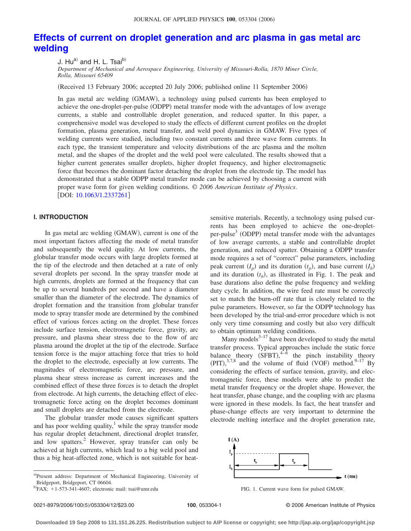# **[Effects of current on droplet generation and arc plasma in gas metal arc](http://dx.doi.org/10.1063/1.2337261) [welding](http://dx.doi.org/10.1063/1.2337261)**

J.  $Hu^{a)}$  and H. L. Tsai<sup>b)</sup>

*Department of Mechanical and Aerospace Engineering, University of Missouri-Rolla, 1870 Miner Circle, Rolla, Missouri 65409*

(Received 13 February 2006; accepted 20 July 2006; published online 11 September 2006)

In gas metal arc welding (GMAW), a technology using pulsed currents has been employed to achieve the one-droplet-per-pulse (ODPP) metal transfer mode with the advantages of low average currents, a stable and controllable droplet generation, and reduced spatter. In this paper, a comprehensive model was developed to study the effects of different current profiles on the droplet formation, plasma generation, metal transfer, and weld pool dynamics in GMAW. Five types of welding currents were studied, including two constant currents and three wave form currents. In each type, the transient temperature and velocity distributions of the arc plasma and the molten metal, and the shapes of the droplet and the weld pool were calculated. The results showed that a higher current generates smaller droplets, higher droplet frequency, and higher electromagnetic force that becomes the dominant factor detaching the droplet from the electrode tip. The model has demonstrated that a stable ODPP metal transfer mode can be achieved by choosing a current with proper wave form for given welding conditions. © *2006 American Institute of Physics*. [DOI: [10.1063/1.2337261](http://dx.doi.org/10.1063/1.2337261)]

# **I. INTRODUCTION**

In gas metal arc welding (GMAW), current is one of the most important factors affecting the mode of metal transfer and subsequently the weld quality. At low currents, the globular transfer mode occurs with large droplets formed at the tip of the electrode and then detached at a rate of only several droplets per second. In the spray transfer mode at high currents, droplets are formed at the frequency that can be up to several hundreds per second and have a diameter smaller than the diameter of the electrode. The dynamics of droplet formation and the transition from globular transfer mode to spray transfer mode are determined by the combined effect of various forces acting on the droplet. These forces include surface tension, electromagnetic force, gravity, arc pressure, and plasma shear stress due to the flow of arc plasma around the droplet at the tip of the electrode. Surface tension force is the major attaching force that tries to hold the droplet to the electrode, especially at low currents. The magnitudes of electromagnetic force, arc pressure, and plasma shear stress increase as current increases and the combined effect of these three forces is to detach the droplet from electrode. At high currents, the detaching effect of electromagnetic force acting on the droplet becomes dominant and small droplets are detached from the electrode.

The globular transfer mode causes significant spatters and has poor welding quality, $<sup>1</sup>$  while the spray transfer mode</sup> has regular droplet detachment, directional droplet transfer, and low spatters.<sup>2</sup> However, spray transfer can only be achieved at high currents, which lead to a big weld pool and thus a big heat-affected zone, which is not suitable for heatsensitive materials. Recently, a technology using pulsed currents has been employed to achieve the one-dropletper-pulse<sup>3</sup> (ODPP) metal transfer mode with the advantages of low average currents, a stable and controllable droplet generation, and reduced spatter. Obtaining a ODPP transfer mode requires a set of "correct" pulse parameters, including peak current  $(I_p)$  and its duration  $(t_p)$ , and base current  $(I_b)$ and its duration  $(t_b)$ , as illustrated in Fig. 1. The peak and base durations also define the pulse frequency and welding duty cycle. In addition, the wire feed rate must be correctly set to match the burn-off rate that is closely related to the pulse parameters. However, so far the ODPP technology has been developed by the trial-and-error procedure which is not only very time consuming and costly but also very difficult to obtain optimum welding conditions.

Many models $3-17$  have been developed to study the metal transfer process. Typical approaches include the static force balance theory  $(SFBT)$ ,<sup>4-6</sup> the pinch instability theory  $(PIT)$ ,<sup>3,7,8</sup> and the volume of fluid (VOF) method.<sup>9–17</sup> By considering the effects of surface tension, gravity, and electromagnetic force, these models were able to predict the metal transfer frequency or the droplet shape. However, the heat transfer, phase change, and the coupling with arc plasma were ignored in these models. In fact, the heat transfer and phase-change effects are very important to determine the electrode melting interface and the droplet generation rate,



5/053304/12/\$23.00 © 2006 American Institute of Physics **100**, 053304-1

a)Present address: Department of Mechanical Engineering, University of Bridgeport, Bridgeport, CT 06604.

<sup>&</sup>lt;sup>b</sup>FAX: +1-573-341-4607; electronic mail: tsai@umr.edu FIG. 1. Current wave form for pulsed GMAW.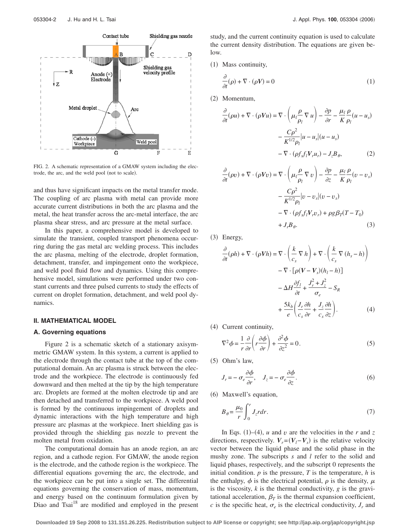

FIG. 2. A schematic representation of a GMAW system including the electrode, the arc, and the weld pool (not to scale).

and thus have significant impacts on the metal transfer mode. The coupling of arc plasma with metal can provide more accurate current distributions in both the arc plasma and the metal, the heat transfer across the arc-metal interface, the arc plasma shear stress, and arc pressure at the metal surface.

In this paper, a comprehensive model is developed to simulate the transient, coupled transport phenomena occurring during the gas metal arc welding process. This includes the arc plasma, melting of the electrode, droplet formation, detachment, transfer, and impingement onto the workpiece, and weld pool fluid flow and dynamics. Using this comprehensive model, simulations were performed under two constant currents and three pulsed currents to study the effects of current on droplet formation, detachment, and weld pool dynamics.

# **II. MATHEMATICAL MODEL**

# **A. Governing equations**

Figure 2 is a schematic sketch of a stationary axisymmetric GMAW system. In this system, a current is applied to the electrode through the contact tube at the top of the computational domain. An arc plasma is struck between the electrode and the workpiece. The electrode is continuously fed downward and then melted at the tip by the high temperature arc. Droplets are formed at the molten electrode tip and are then detached and transferred to the workpiece. A weld pool is formed by the continuous impingement of droplets and dynamic interactions with the high temperature and high pressure arc plasmas at the workpiece. Inert shielding gas is provided through the shielding gas nozzle to prevent the molten metal from oxidation.

The computational domain has an anode region, an arc region, and a cathode region. For GMAW, the anode region is the electrode, and the cathode region is the workpiece. The differential equations governing the arc, the electrode, and the workpiece can be put into a single set. The differential equations governing the conservation of mass, momentum, and energy based on the continuum formulation given by Diao and Tsai<sup>18</sup> are modified and employed in the present study, and the current continuity equation is used to calculate the current density distribution. The equations are given below.

(1) Mass continuity,

$$
\frac{\partial}{\partial t}(\rho) + \nabla \cdot (\rho V) = 0 \tag{1}
$$

(2) Momentum,

$$
\frac{\partial}{\partial t}(\rho u) + \nabla \cdot (\rho Vu) = \nabla \cdot \left(\mu_l \frac{\rho}{\rho_l} \nabla u\right) - \frac{\partial p}{\partial r} - \frac{\mu_l \rho}{K} \frac{\rho}{\rho_l} (u - u_s)
$$

$$
- \frac{C\rho^2}{K^{1/2} \rho_l} |u - u_s| (u - u_s)
$$

$$
- \nabla \cdot (\rho f_s f_l V_r u_r) - J_z B_\theta, \tag{2}
$$

$$
\frac{\partial}{\partial t}(\rho v) + \nabla \cdot (\rho V v) = \nabla \cdot \left(\mu_l \frac{\rho}{\rho_l} \nabla v\right) - \frac{\partial p}{\partial z} - \frac{\mu_l \rho}{K \rho_l} (v - v_s) \n- \frac{C\rho^2}{K^{1/2} \rho_l} |v - v_s| (v - v_s) \n- \nabla \cdot (\rho f_s f_l V_r v_r) + \rho g \beta_T (T - T_0) \n+ J_r B_\theta.
$$
\n(3)

(3) Energy,

$$
\frac{\partial}{\partial t}(\rho h) + \nabla \cdot (\rho V h) = \nabla \cdot \left(\frac{k}{c_s} \nabla h\right) + \nabla \cdot \left(\frac{k}{c_s} \nabla (h_s - h)\right)
$$

$$
- \nabla \cdot \left[\rho (V - V_s)(h_l - h)\right]
$$

$$
- \Delta H \frac{\partial f_l}{\partial t} + \frac{J_r^2 + J_z^2}{\sigma_e} - S_R
$$

$$
+ \frac{5k_b}{e} \left(\frac{J_r}{c_s} \frac{\partial h}{\partial r} + \frac{J_z}{c_s} \frac{\partial h}{\partial z}\right). \tag{4}
$$

(4) Current continuity,

$$
\nabla^2 \phi = \frac{1}{r} \frac{\partial}{\partial r} \left( r \frac{\partial \phi}{\partial r} \right) + \frac{\partial^2 \phi}{\partial z^2} = 0.
$$
 (5)

(5) Ohm's law,

$$
J_r = -\sigma_e \frac{\partial \phi}{\partial r}, \quad J_z = -\sigma_e \frac{\partial \phi}{\partial z}.
$$
 (6)

(6) Maxwell's equation,

$$
B_{\theta} = \frac{\mu_0}{r} \int_0^r J_z r dr.
$$
 (7)

In Eqs.  $(1)$ – $(4)$ , *u* and *v* are the velocities in the *r* and *z* directions, respectively.  $V_r = (V_l - V_s)$  is the relative velocity vector between the liquid phase and the solid phase in the mushy zone. The subscripts *s* and *l* refer to the solid and liquid phases, respectively, and the subscript 0 represents the initial condition. *p* is the pressure, *T* is the temperature, *h* is the enthalpy,  $\phi$  is the electrical potential,  $\rho$  is the density,  $\mu$ is the viscosity, *k* is the thermal conductivity, *g* is the gravitational acceleration,  $\beta$ <sup>T</sup> is the thermal expansion coefficient, *c* is the specific heat,  $\sigma_e$  is the electrical conductivity,  $J_r$  and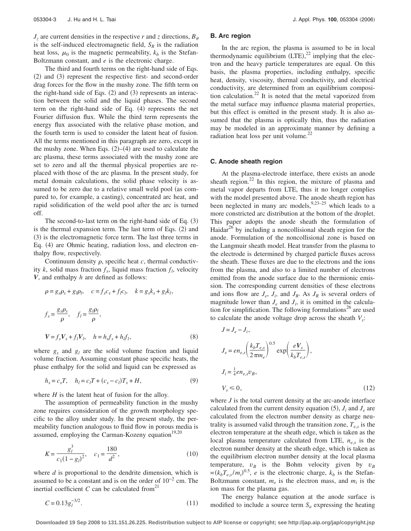$J_z$  are current densities in the respective *r* and *z* directions,  $B_\theta$ is the self-induced electromagnetic field,  $S_R$  is the radiation heat loss,  $\mu_0$  is the magnetic permeability,  $k_b$  is the Stefan-Boltzmann constant, and *e* is the electronic charge.

The third and fourth terms on the right-hand side of Eqs. (2) and (3) represent the respective first- and second-order drag forces for the flow in the mushy zone. The fifth term on the right-hand side of Eqs.  $(2)$  and  $(3)$  represents an interaction between the solid and the liquid phases. The second term on the right-hand side of Eq. (4) represents the net Fourier diffusion flux. While the third term represents the energy flux associated with the relative phase motion, and the fourth term is used to consider the latent heat of fusion. All the terms mentioned in this paragraph are zero, except in the mushy zone. When Eqs.  $(2)$ – $(4)$  are used to calculate the arc plasma, these terms associated with the mushy zone are set to zero and all the thermal physical properties are replaced with those of the arc plasma. In the present study, for metal domain calculations, the solid phase velocity is assumed to be zero due to a relative small weld pool (as compared to, for example, a casting), concentrated arc heat, and rapid solidification of the weld pool after the arc is turned off.

The second-to-last term on the right-hand side of Eq.  $(3)$ is the thermal expansion term. The last term of Eqs. (2) and (3) is the electromagnetic force term. The last three terms in Eq. (4) are Ohmic heating, radiation loss, and electron enthalpy flow, respectively.

Continuum density  $\rho$ , specific heat  $c$ , thermal conductivity *k*, solid mass fraction  $f_s$ , liquid mass fraction  $f_l$ , velocity *V*, and enthalpy *h* are defined as follows:

$$
\rho = g_s \rho_s + g_l \rho_l, \quad c = f_s c_s + f_l c_l, \quad k = g_s k_s + g_l k_l,
$$
  

$$
f_s = \frac{g_s \rho_s}{\rho}, \quad f_l = \frac{g_l \rho_l}{\rho},
$$
  

$$
V = f_s V_s + f_l V_l, \quad h = h_s f_s + h_l f_l,
$$
 (8)

where  $g_s$  and  $g_l$  are the solid volume fraction and liquid volume fraction. Assuming constant phase specific heats, the phase enthalpy for the solid and liquid can be expressed as

$$
h_s = c_s T, \quad h_l = c_l T + (c_s - c_l) T_s + H,\tag{9}
$$

where *H* is the latent heat of fusion for the alloy.

The assumption of permeability function in the mushy zone requires consideration of the growth morphology specific to the alloy under study. In the present study, the permeability function analogous to fluid flow in porous media is assumed, employing the Carman-Kozeny equation<sup>19,20</sup>

$$
K = \frac{g_l^3}{c_1(1 - g_l)^2}, \quad c_1 = \frac{180}{d^2},
$$
\n(10)

where *d* is proportional to the dendrite dimension, which is assumed to be a constant and is on the order of  $10^{-2}$  cm. The inertial coefficient  $C$  can be calculated from<sup>21</sup>

$$
C = 0.13g_l^{-3/2}.\tag{11}
$$

# **B. Arc region**

In the arc region, the plasma is assumed to be in local thermodynamic equilibrium  $(LTE)$ ,<sup>22</sup> implying that the electron and the heavy particle temperatures are equal. On this basis, the plasma properties, including enthalpy, specific heat, density, viscosity, thermal conductivity, and electrical conductivity, are determined from an equilibrium composition calculation. $^{22}$  It is noted that the metal vaporized from the metal surface may influence plasma material properties, but this effect is omitted in the present study. It is also assumed that the plasma is optically thin, thus the radiation may be modeled in an approximate manner by defining a radiation heat loss per unit volume. $^{22}$ 

#### **C. Anode sheath region**

At the plasma-electrode interface, there exists an anode sheath region.<sup>22</sup> In this region, the mixture of plasma and metal vapor departs from LTE, thus it no longer complies with the model presented above. The anode sheath region has been neglected in many arc models, $\frac{9,23-25}{ }$  which leads to a more constricted arc distribution at the bottom of the droplet. This paper adopts the anode sheath the formulation of Haidar<sup>26</sup> by including a noncollisional sheath region for the anode. Formulation of the noncollisional zone is based on the Langmuir sheath model. Heat transfer from the plasma to the electrode is determined by charged particle fluxes across the sheath. These fluxes are due to the electrons and the ions from the plasma, and also to a limited number of electrons emitted from the anode surface due to the thermionic emission. The corresponding current densities of these electrons and ions flow are  $J_e$ ,  $J_i$ , and  $J_R$ . As  $J_R$  is several orders of magnitude lower than  $J_e$  and  $J_i$ , it is omitted in the calculation for simplification. The following formulations<sup>26</sup> are used to calculate the anode voltage drop across the sheath  $V_s$ :

$$
J = J_e - J_i,
$$
  
\n
$$
J_e = en_{e,s} \left(\frac{k_b T_{e,s}}{2 \pi m_e}\right)^{0.5} \exp\left(\frac{eV_s}{k_b T_{e,s}}\right),
$$
  
\n
$$
J_i = \frac{1}{4} en_{e,s} v_B,
$$
  
\n
$$
V_s \le 0,
$$
\n(12)

where *J* is the total current density at the arc-anode interface calculated from the current density equation  $(5)$ ,  $J_i$  and  $J_e$  are calculated from the electron number density as charge neutrality is assumed valid through the transition zone,  $T_e$  is the electron temperature at the sheath edge, which is taken as the local plasma temperature calculated from LTE,  $n_e$ , is the electron number density at the sheath edge, which is taken as the equilibrium electron number density at the local plasma temperature,  $v_B$  is the Bohm velocity given by  $v_B$  $=(k_bT_{e,s}/m_i)^{0.5}$ , *e* is the electronic charge,  $k_b$  is the Stefan-Boltzmann constant,  $m_e$  is the electron mass, and  $m_i$  is the ion mass for the plasma gas.

The energy balance equation at the anode surface is modified to include a source term  $S_a$  expressing the heating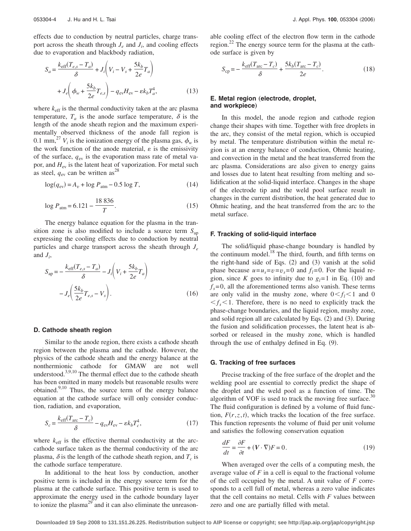effects due to conduction by neutral particles, charge transport across the sheath through  $J_e$  and  $J_i$ , and cooling effects due to evaporation and blackbody radiation,

$$
S_a = \frac{k_{\text{eff}}(T_{e,s} - T_a)}{\delta} + J_i \left( V_i - V_s + \frac{5k_b}{2e} T_a \right)
$$

$$
+ J_e \left( \phi_w + \frac{5k_b}{2e} T_{e,s} \right) - q_{\text{ev}} H_{\text{ev}} - \varepsilon k_b T_a^4, \tag{13}
$$

where  $k_{\text{eff}}$  is the thermal conductivity taken at the arc plasma temperature,  $T_a$  is the anode surface temperature,  $\delta$  is the length of the anode sheath region and the maximum experimentally observed thickness of the anode fall region is 0.1 mm,<sup>27</sup>  $V_i$  is the ionization energy of the plasma gas,  $\phi_w$  is the work function of the anode material,  $\varepsilon$  is the emissivity of the surface,  $q_{ev}$  is the evaporation mass rate of metal vapor, and *H*ev is the latent heat of vaporization. For metal such as steel,  $q_{\text{ev}}$  can be written as<sup>28</sup>

$$
\log(q_{\text{ev}}) = A_v + \log P_{\text{atm}} - 0.5 \log T,\tag{14}
$$

$$
\log P_{\text{atm}} = 6.121 - \frac{18\,836}{T}.\tag{15}
$$

The energy balance equation for the plasma in the transition zone is also modified to include a source term *S*ap expressing the cooling effects due to conduction by neutral particles and charge transport across the sheath through *Je* and  $J_i$ ,

$$
S_{\rm ap} = -\frac{k_{\rm eff}(T_{e,s} - T_a)}{\delta} - J_i \left( V_i + \frac{5k_b}{2e} T_a \right) - J_e \left( \frac{5k_b}{2e} T_{e,s} - V_s \right).
$$
 (16)

#### **D. Cathode sheath region**

Similar to the anode region, there exists a cathode sheath region between the plasma and the cathode. However, the physics of the cathode sheath and the energy balance at the nonthermionic cathode for GMAW are not well understood. $3,9,10$  The thermal effect due to the cathode sheath has been omitted in many models but reasonable results were obtained. $9,10$  Thus, the source term of the energy balance equation at the cathode surface will only consider conduction, radiation, and evaporation,

$$
S_c = \frac{k_{\text{eff}}(T_{\text{arc}} - T_c)}{\delta} - q_{\text{ev}}H_{\text{ev}} - \varepsilon k_b T_c^4,\tag{17}
$$

where  $k<sub>eff</sub>$  is the effective thermal conductivity at the arccathode surface taken as the thermal conductivity of the arc plasma,  $\delta$  is the length of the cathode sheath region, and  $T_c$  is the cathode surface temperature.

In additional to the heat loss by conduction, another positive term is included in the energy source term for the plasma at the cathode surface. This positive term is used to approximate the energy used in the cathode boundary layer to ionize the plasma<sup>29</sup> and it can also eliminate the unreasonable cooling effect of the electron flow term in the cathode region. $^{22}$  The energy source term for the plasma at the cathode surface is given by

$$
S_{\rm cp} = -\frac{k_{\rm eff}(T_{\rm arc} - T_c)}{\delta} + \frac{5k_b(T_{\rm arc} - T_c)}{2e}.
$$
 (18)

# **E. Metal region (electrode, droplet, and workpiece**…

In this model, the anode region and cathode region change their shapes with time. Together with free droplets in the arc, they consist of the metal region, which is occupied by metal. The temperature distribution within the metal region is at an energy balance of conduction, Ohmic heating, and convection in the metal and the heat transferred from the arc plasma. Considerations are also given to energy gains and losses due to latent heat resulting from melting and solidification at the solid-liquid interface. Changes in the shape of the electrode tip and the weld pool surface result in changes in the current distribution, the heat generated due to Ohmic heating, and the heat transferred from the arc to the metal surface.

#### **F. Tracking of solid-liquid interface**

The solid/liquid phase-change boundary is handled by the continuum model. $^{18}$  The third, fourth, and fifth terms on the right-hand side of Eqs.  $(2)$  and  $(3)$  vanish at the solid phase because  $u=u<sub>s</sub>=v=v<sub>s</sub>=0$  and  $f<sub>l</sub>=0$ . For the liquid region, since *K* goes to infinity due to  $g_l = 1$  in Eq. (10) and  $f_s = 0$ , all the aforementioned terms also vanish. These terms are only valid in the mushy zone, where  $0 \le f_l \le 1$  and 0  $f_s$ <1. Therefore, there is no need to explicitly track the phase-change boundaries, and the liquid region, mushy zone, and solid region all are calculated by Eqs. (2) and (3). During the fusion and solidification processes, the latent heat is absorbed or released in the mushy zone, which is handled through the use of enthalpy defined in Eq.  $(9)$ .

#### **G. Tracking of free surfaces**

Precise tracking of the free surface of the droplet and the welding pool are essential to correctly predict the shape of the droplet and the weld pool as a function of time. The algorithm of VOF is used to track the moving free surface. $30$ The fluid configuration is defined by a volume of fluid function,  $F(r, z, t)$ , which tracks the location of the free surface. This function represents the volume of fluid per unit volume and satisfies the following conservation equation

$$
\frac{dF}{dt} = \frac{\partial F}{\partial t} + (V \cdot \nabla)F = 0.
$$
\n(19)

When averaged over the cells of a computing mesh, the average value of *F* in a cell is equal to the fractional volume of the cell occupied by the metal. A unit value of *F* corresponds to a cell full of metal, whereas a zero value indicates that the cell contains no metal. Cells with *F* values between zero and one are partially filled with metal.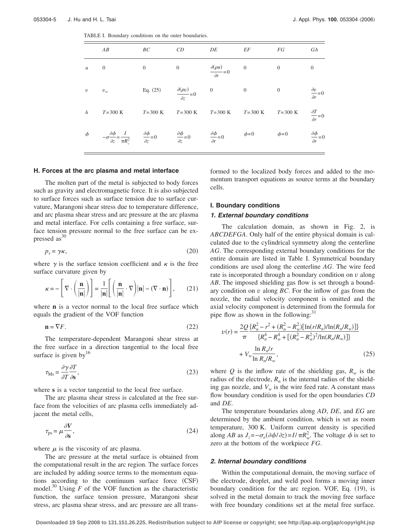TABLE I. Boundary conditions on the outer boundaries.

|                  | AB                                                                                                                                                                                    | BC                  | CD                                                   | DE                                          | EF                                                          | FG                  | GA                                     |
|------------------|---------------------------------------------------------------------------------------------------------------------------------------------------------------------------------------|---------------------|------------------------------------------------------|---------------------------------------------|-------------------------------------------------------------|---------------------|----------------------------------------|
| $\boldsymbol{u}$ | $\theta$                                                                                                                                                                              | $\theta$            | $\overline{\phantom{a}}$                             | $\frac{\partial(\rho u)}{\partial u} = 0$ 0 |                                                             | $\overline{0}$      | $\theta$                               |
| $\upsilon$       | $v_w$                                                                                                                                                                                 |                     | Eq. (25) $\frac{\partial(\rho v)}{\partial z} = 0$ 0 |                                             | $\overline{0}$                                              | $\overline{0}$      | $\frac{\partial v}{\partial r} = 0$    |
| $\boldsymbol{h}$ | $T = 300 \text{ K}$                                                                                                                                                                   | $T = 300 \text{ K}$ |                                                      |                                             | $T = 300 \text{ K}$ $T = 300 \text{ K}$ $T = 300 \text{ K}$ | $T = 300 \text{ K}$ | $\frac{\partial T}{\partial r} = 0$    |
| $\phi$           | $-\sigma \frac{\partial \phi}{\partial z} = \frac{I}{\pi R_c^2}$ $\frac{\partial \phi}{\partial z} = 0$ $\frac{\partial \phi}{\partial z} = 0$ $\frac{\partial \phi}{\partial r} = 0$ |                     |                                                      |                                             | $\phi = 0$                                                  | $\phi = 0$          | $\frac{\partial \phi}{\partial r} = 0$ |
|                  |                                                                                                                                                                                       |                     |                                                      |                                             |                                                             |                     |                                        |

#### **H. Forces at the arc plasma and metal interface**

The molten part of the metal is subjected to body forces such as gravity and electromagnetic force. It is also subjected to surface forces such as surface tension due to surface curvature, Marangoni shear stress due to temperature difference, and arc plasma shear stress and arc pressure at the arc plasma and metal interface. For cells containing a free surface, surface tension pressure normal to the free surface can be expressed as  $30$ 

$$
p_s = \gamma \kappa, \tag{20}
$$

where  $\gamma$  is the surface tension coefficient and  $\kappa$  is the free surface curvature given by

$$
\kappa = -\left[\nabla \cdot \left(\frac{\mathbf{n}}{|\mathbf{n}|}\right)\right] = \frac{1}{|\mathbf{n}|} \left[\left(\frac{\mathbf{n}}{|\mathbf{n}|} \cdot \nabla\right) |\mathbf{n}| - (\nabla \cdot \mathbf{n})\right],\qquad(21)
$$

where **n** is a vector normal to the local free surface which equals the gradient of the VOF function

$$
\mathbf{n} = \nabla F. \tag{22}
$$

The temperature-dependent Marangoni shear stress at the free surface in a direction tangential to the local free surface is given by  $16$ 

$$
\tau_{\text{Ms}} = \frac{\partial \gamma}{\partial T} \frac{\partial T}{\partial \mathbf{s}},\tag{23}
$$

where **s** is a vector tangential to the local free surface.

The arc plasma shear stress is calculated at the free surface from the velocities of arc plasma cells immediately adjacent the metal cells,

$$
\tau_{\rm ps} = \mu \frac{\partial V}{\partial s},\tag{24}
$$

where  $\mu$  is the viscosity of arc plasma.

The arc pressure at the metal surface is obtained from the computational result in the arc region. The surface forces are included by adding source terms to the momentum equations according to the continuum surface force (CSF) model.<sup>30</sup> Using  $F$  of the VOF function as the characteristic function, the surface tension pressure, Marangoni shear stress, arc plasma shear stress, and arc pressure are all transformed to the localized body forces and added to the momentum transport equations as source terms at the boundary cells.

## **I. Boundary conditions**

#### *1. External boundary conditions*

The calculation domain, as shown in Fig. 2, is *ABCDEFGA*. Only half of the entire physical domain is calculated due to the cylindrical symmetry along the centerline *AG*. The corresponding external boundary conditions for the entire domain are listed in Table I. Symmetrical boundary conditions are used along the centerline *AG*. The wire feed rate is incorporated through a boundary condition on *v* along *AB*. The imposed shielding gas flow is set through a boundary condition on *v* along *BC*. For the inflow of gas from the nozzle, the radial velocity component is omitted and the axial velocity component is determined from the formula for pipe flow as shown in the following: $31$ 

$$
v(r) = \frac{2Q}{\pi} \frac{\{R_n^2 - r^2 + (R_n^2 - R_w^2) [\ln(r/R_n)/\ln(R_n/R_w)]\}}{\{R_n^4 - R_w^4 + [(R_n^2 - R_w^2)^2/\ln(R_n/R_w)]\}} + V_w \frac{\ln R_n/r}{\ln R_n/R_w},
$$
(25)

where  $Q$  is the inflow rate of the shielding gas,  $R_w$  is the radius of the electrode,  $R_n$  is the internal radius of the shielding gas nozzle, and  $V_w$  is the wire feed rate. A constant mass flow boundary condition is used for the open boundaries *CD* and *DE*.

The temperature boundaries along *AD*, *DE*, and *EG* are determined by the ambient condition, which is set as room temperature, 300 K. Uniform current density is specified along *AB* as  $J_z = -\sigma_e(\partial \phi / \partial z) = I / \pi R_w^2$ . The voltage  $\phi$  is set to zero at the bottom of the workpiece *FG*.

#### *2. Internal boundary conditions*

Within the computational domain, the moving surface of the electrode, droplet, and weld pool forms a moving inner boundary condition for the arc region. VOF, Eq. (19), is solved in the metal domain to track the moving free surface with free boundary conditions set at the metal free surface.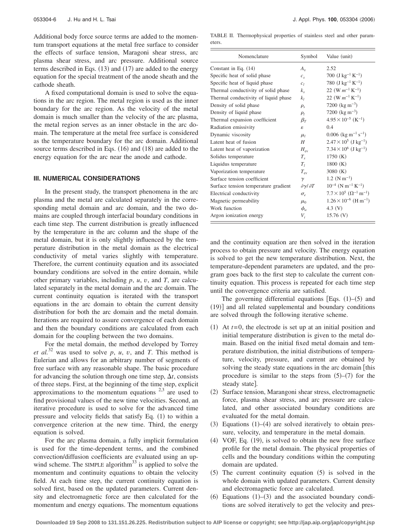Additional body force source terms are added to the momentum transport equations at the metal free surface to consider the effects of surface tension, Maragoni shear stress, arc plasma shear stress, and arc pressure. Additional source terms described in Eqs.  $(13)$  and  $(17)$  are added to the energy equation for the special treatment of the anode sheath and the cathode sheath.

A fixed computational domain is used to solve the equations in the arc region. The metal region is used as the inner boundary for the arc region. As the velocity of the metal domain is much smaller than the velocity of the arc plasma, the metal region serves as an inner obstacle in the arc domain. The temperature at the metal free surface is considered as the temperature boundary for the arc domain. Additional source terms described in Eqs. (16) and (18) are added to the energy equation for the arc near the anode and cathode.

# **III. NUMERICAL CONSIDERATIONS**

In the present study, the transport phenomena in the arc plasma and the metal are calculated separately in the corresponding metal domain and arc domain, and the two domains are coupled through interfacial boundary conditions in each time step. The current distribution is greatly influenced by the temperature in the arc column and the shape of the metal domain, but it is only slightly influenced by the temperature distribution in the metal domain as the electrical conductivity of metal varies slightly with temperature. Therefore, the current continuity equation and its associated boundary conditions are solved in the entire domain, while other primary variables, including  $p$ ,  $u$ ,  $v$ , and  $T$ , are calculated separately in the metal domain and the arc domain. The current continuity equation is iterated with the transport equations in the arc domain to obtain the current density distribution for both the arc domain and the metal domain. Iterations are required to assure convergence of each domain and then the boundary conditions are calculated from each domain for the coupling between the two domains.

For the metal domain, the method developed by Torrey *et al.*<sup>32</sup> was used to solve *p*, *u*, *v*, and *T*. This method is Eulerian and allows for an arbitrary number of segments of free surface with any reasonable shape. The basic procedure for advancing the solution through one time step,  $\Delta t$ , consists of three steps. First, at the beginning of the time step, explicit approximations to the momentum equations  $2.3$  are used to find provisional values of the new time velocities. Second, an iterative procedure is used to solve for the advanced time pressure and velocity fields that satisfy Eq. (1) to within a convergence criterion at the new time. Third, the energy equation is solved.

For the arc plasma domain, a fully implicit formulation is used for the time-dependent terms, and the combined convection/diffusion coefficients are evaluated using an upwind scheme. The SIMPLE algorithm<sup>33</sup> is applied to solve the momentum and continuity equations to obtain the velocity field. At each time step, the current continuity equation is solved first, based on the updated parameters. Current density and electromagnetic force are then calculated for the momentum and energy equations. The momentum equations

TABLE II. Thermophysical properties of stainless steel and other parameters.

| Nomenclature                         | Symbol                         | Value (unit)                                        |
|--------------------------------------|--------------------------------|-----------------------------------------------------|
| Constant in Eq. (14)                 | A <sub>1</sub>                 | 2.52                                                |
| Specific heat of solid phase         | $c_{s}$                        | 700 (J kg <sup>-1</sup> K <sup>-1</sup> )           |
| Specific heat of liquid phase        | c <sub>1</sub>                 | 780 (J $kg^{-1} K^{-1}$ )                           |
| Thermal conductivity of solid phase  | $k_{s}$                        | 22 (W $m^{-1}$ K <sup>-1</sup> )                    |
| Thermal conductivity of liquid phase | $k_I$                          | 22 (W $m^{-1}$ K <sup>-1</sup> )                    |
| Density of solid phase               | $\rho_{\rm s}$                 | $7200$ (kg m <sup>-3</sup> )                        |
| Density of liquid phase              | $\rho_l$                       | 7200 (kg m <sup>-3</sup> )                          |
| Thermal expansion coefficient        | $\beta_T$                      | $4.95 \times 10^{-5}$ (K <sup>-1</sup> )            |
| Radiation emissivity                 | ε                              | 0.4                                                 |
| Dynamic viscosity                    | $\mu_l$                        | $0.006$ (kg m <sup>-1</sup> s <sup>-1</sup> )       |
| Latent heat of fusion                | H                              | $2.47 \times 10^5$ (J kg <sup>-1</sup> )            |
| Latent heat of vaporization          | $H_{\rm ev}$                   | $7.34 \times 10^6$ (J kg <sup>-1</sup> )            |
| Solidus temperature                  | $T_{\rm c}$                    | 1750(K)                                             |
| Liquidus temperature                 | $T_I$                          | 1800 (K)                                            |
| Vaporization temperature             | $T_{\rm ev}$                   | 3080 $(K)$                                          |
| Surface tension coefficient          | $\gamma$                       | $1.2~(N~m^{-1})$                                    |
| Surface tension temperature gradient | $\partial \gamma / \partial T$ | $10^{-4}$ (N m <sup>-1</sup> K <sup>-1</sup> )      |
| Electrical conductivity              | $\sigma_e$                     | $7.7 \times 10^5$ ( $\Omega^{-1}$ m <sup>-1</sup> ) |
| Magnetic permeability                | $\mu_0$                        | $1.26 \times 10^{-6}$ (H m <sup>-1</sup> )          |
| Work function                        | $\phi_w$                       | 4.3 $(V)$                                           |
| Argon ionization energy              | $V_i$                          | $15.76$ (V)                                         |

and the continuity equation are then solved in the iteration process to obtain pressure and velocity. The energy equation is solved to get the new temperature distribution. Next, the temperature-dependent parameters are updated, and the program goes back to the first step to calculate the current continuity equation. This process is repeated for each time step until the convergence criteria are satisfied.

The governing differential equations [Eqs.  $(1)$ – $(5)$  and (19)] and all related supplemental and boundary conditions are solved through the following iterative scheme.

- $1)$  At  $t=0$ , the electrode is set up at an initial position and initial temperature distribution is given to the metal domain. Based on the initial fixed metal domain and temperature distribution, the initial distributions of temperature, velocity, pressure, and current are obtained by solving the steady state equations in the arc domain [this procedure is similar to the steps from  $(5)-(7)$  for the steady state.
- (2) Surface tension, Marangoni shear stress, electromagnetic force, plasma shear stress, and arc pressure are calculated, and other associated boundary conditions are evaluated for the metal domain.
- (3) Equations  $(1)$ - $(4)$  are solved iteratively to obtain pressure, velocity, and temperature in the metal domain.
- (4) VOF, Eq. (19), is solved to obtain the new free surface profile for the metal domain. The physical properties of cells and the boundary conditions within the computing domain are updated.
- $(5)$  The current continuity equation  $(5)$  is solved in the whole domain with updated parameters. Current density and electromagnetic force are calculated.
- $(6)$  Equations  $(1)$ – $(3)$  and the associated boundary conditions are solved iteratively to get the velocity and pres-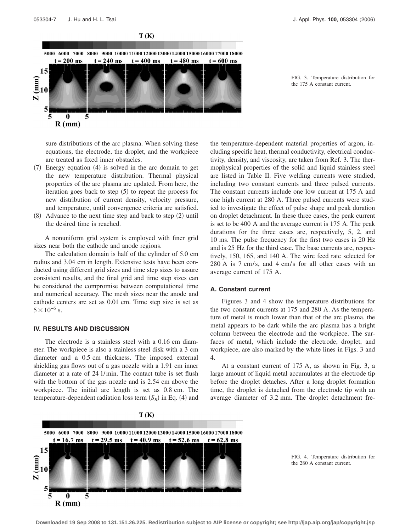FIG. 3. Temperature distribution for

the 175 A constant current.



sure distributions of the arc plasma. When solving these equations, the electrode, the droplet, and the workpiece are treated as fixed inner obstacles.

- (7) Energy equation (4) is solved in the arc domain to get the new temperature distribution. Thermal physical properties of the arc plasma are updated. From here, the iteration goes back to step  $(5)$  to repeat the process for new distribution of current density, velocity pressure, and temperature, until convergence criteria are satisfied.
- (8) Advance to the next time step and back to step (2) until the desired time is reached.

A nonuniform grid system is employed with finer grid sizes near both the cathode and anode regions.

The calculation domain is half of the cylinder of 5.0 cm radius and 3.04 cm in length. Extensive tests have been conducted using different grid sizes and time step sizes to assure consistent results, and the final grid and time step sizes can be considered the compromise between computational time and numerical accuracy. The mesh sizes near the anode and cathode centers are set as 0.01 cm. Time step size is set as  $5\times10^{-6}$  s.

## **IV. RESULTS AND DISCUSSION**

The electrode is a stainless steel with a 0.16 cm diameter. The workpiece is also a stainless steel disk with a 3 cm diameter and a 0.5 cm thickness. The imposed external shielding gas flows out of a gas nozzle with a 1.91 cm inner diameter at a rate of 24 l/min. The contact tube is set flush with the bottom of the gas nozzle and is 2.54 cm above the workpiece. The initial arc length is set as 0.8 cm. The temperature-dependent radiation loss term  $(S_R)$  in Eq. (4) and



#### **A. Constant current**

Figures 3 and 4 show the temperature distributions for the two constant currents at 175 and 280 A. As the temperature of metal is much lower than that of the arc plasma, the metal appears to be dark while the arc plasma has a bright column between the electrode and the workpiece. The surfaces of metal, which include the electrode, droplet, and workpiece, are also marked by the white lines in Figs. 3 and 4.

At a constant current of 175 A, as shown in Fig. 3, a large amount of liquid metal accumulates at the electrode tip before the droplet detaches. After a long droplet formation time, the droplet is detached from the electrode tip with an average diameter of 3.2 mm. The droplet detachment fre-



FIG. 4. Temperature distribution for the 280 A constant current.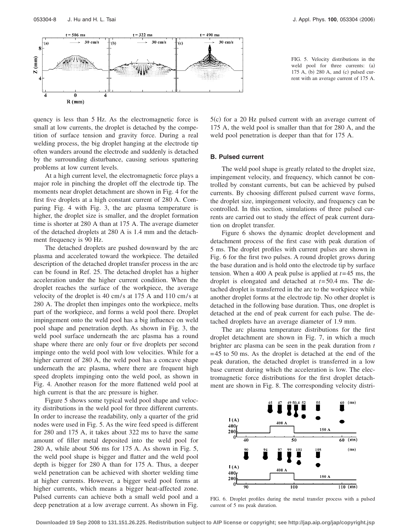

quency is less than 5 Hz. As the electromagnetic force is small at low currents, the droplet is detached by the competition of surface tension and gravity force. During a real welding process, the big droplet hanging at the electrode tip often wanders around the electrode and suddenly is detached by the surrounding disturbance, causing serious spattering problems at low current levels.

At a high current level, the electromagnetic force plays a major role in pinching the droplet off the electrode tip. The moments near droplet detachment are shown in Fig. 4 for the first five droplets at a high constant current of 280 A. Comparing Fig. 4 with Fig. 3, the arc plasma temperature is higher, the droplet size is smaller, and the droplet formation time is shorter at 280 A than at 175 A. The average diameter of the detached droplets at 280 A is 1.4 mm and the detachment frequency is 90 Hz.

The detached droplets are pushed downward by the arc plasma and accelerated toward the workpiece. The detailed description of the detached droplet transfer process in the arc can be found in Ref. 25. The detached droplet has a higher acceleration under the higher current condition. When the droplet reaches the surface of the workpiece, the average velocity of the droplet is 40 cm/s at 175 A and 110 cm/s at 280 A. The droplet then impinges onto the workpiece, melts part of the workpiece, and forms a weld pool there. Droplet impingement onto the weld pool has a big influence on weld pool shape and penetration depth. As shown in Fig. 3, the weld pool surface underneath the arc plasma has a round shape where there are only four or five droplets per second impinge onto the weld pool with low velocities. While for a higher current of 280 A, the weld pool has a concave shape underneath the arc plasma, where there are frequent high speed droplets impinging onto the weld pool, as shown in Fig. 4. Another reason for the more flattened weld pool at high current is that the arc pressure is higher.

Figure 5 shows some typical weld pool shape and velocity distributions in the weld pool for three different currents. In order to increase the readability, only a quarter of the grid nodes were used in Fig. 5. As the wire feed speed is different for 280 and 175 A, it takes about 322 ms to have the same amount of filler metal deposited into the weld pool for 280 A, while about 506 ms for 175 A. As shown in Fig. 5, the weld pool shape is bigger and flatter and the weld pool depth is bigger for 280 A than for 175 A. Thus, a deeper weld penetration can be achieved with shorter welding time at higher currents. However, a bigger weld pool forms at higher currents, which means a bigger heat-affected zone. Pulsed currents can achieve both a small weld pool and a deep penetration at a low average current. As shown in Fig.

FIG. 5. Velocity distributions in the weld pool for three currents: (a) 175 A, (b) 280 A, and (c) pulsed current with an average current of 175 A.

5(c) for a 20 Hz pulsed current with an average current of 175 A, the weld pool is smaller than that for 280 A, and the weld pool penetration is deeper than that for 175 A.

# **B. Pulsed current**

The weld pool shape is greatly related to the droplet size, impingement velocity, and frequency, which cannot be controlled by constant currents, but can be achieved by pulsed currents. By choosing different pulsed current wave forms, the droplet size, impingement velocity, and frequency can be controlled. In this section, simulations of three pulsed currents are carried out to study the effect of peak current duration on droplet transfer.

Figure 6 shows the dynamic droplet development and detachment process of the first case with peak duration of 5 ms. The droplet profiles with current pulses are shown in Fig. 6 for the first two pulses. A round droplet grows during the base duration and is hold onto the electrode tip by surface tension. When a 400 A peak pulse is applied at *t*= 45 ms, the droplet is elongated and detached at *t*= 50.4 ms. The detached droplet is transferred in the arc to the workpiece while another droplet forms at the electrode tip. No other droplet is detached in the following base duration. Thus, one droplet is detached at the end of peak current for each pulse. The detached droplets have an average diameter of 1.9 mm.

The arc plasma temperature distributions for the first droplet detachment are shown in Fig. 7, in which a much brighter arc plasma can be seen in the peak duration from *t* = 45 to 50 ms. As the droplet is detached at the end of the peak duration, the detached droplet is transferred in a low base current during which the acceleration is low. The electromagnetic force distributions for the first droplet detachment are shown in Fig. 8. The corresponding velocity distri-



FIG. 6. Droplet profiles during the metal transfer process with a pulsed current of 5 ms peak duration.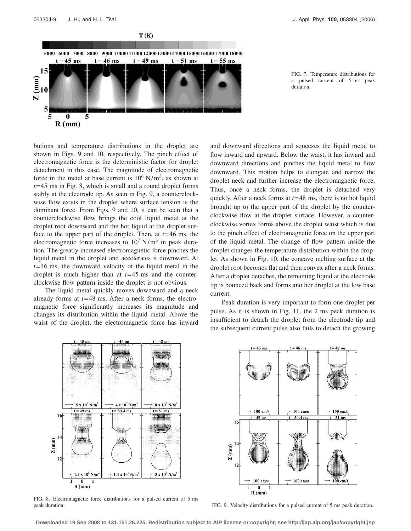

FIG. 7. Temperature distributions for a pulsed current of 5 ms peak duration.

butions and temperature distributions in the droplet are shown in Figs. 9 and 10, respectively. The pinch effect of electromagnetic force is the deterministic factor for droplet detachment in this case. The magnitude of electromagnetic force in the metal at base current is  $10^6$  N/m<sup>3</sup>, as shown at *t*= 45 ms in Fig. 8, which is small and a round droplet forms stably at the electrode tip. As seen in Fig. 9, a counterclockwise flow exists in the droplet where surface tension is the dominant force. From Figs. 9 and 10, it can be seen that a counterclockwise flow brings the cool liquid metal at the droplet root downward and the hot liquid at the droplet surface to the upper part of the droplet. Then, at *t*= 46 ms, the electromagnetic force increases to  $10^7$  N/m<sup>3</sup> in peak duration. The greatly increased electromagnetic force pinches the liquid metal in the droplet and accelerates it downward. At *t*= 46 ms, the downward velocity of the liquid metal in the droplet is much higher than at *t*= 45 ms and the counterclockwise flow pattern inside the droplet is not obvious.

The liquid metal quickly moves downward and a neck already forms at *t*= 48 ms. After a neck forms, the electromagnetic force significantly increases its magnitude and changes its distribution within the liquid metal. Above the waist of the droplet, the electromagnetic force has inward and downward directions and squeezes the liquid metal to flow inward and upward. Below the waist, it has inward and downward directions and pinches the liquid metal to flow downward. This motion helps to elongate and narrow the droplet neck and further increase the electromagnetic force. Thus, once a neck forms, the droplet is detached very quickly. After a neck forms at *t*= 48 ms, there is no hot liquid brought up to the upper part of the droplet by the counterclockwise flow at the droplet surface. However, a counterclockwise vortex forms above the droplet waist which is due to the pinch effect of electromagnetic force on the upper part of the liquid metal. The change of flow pattern inside the droplet changes the temperature distribution within the droplet. As shown in Fig. 10, the concave melting surface at the droplet root becomes flat and then convex after a neck forms. After a droplet detaches, the remaining liquid at the electrode tip is bounced back and forms another droplet at the low base current.

Peak duration is very important to form one droplet per pulse. As it is shown in Fig. 11, the 2 ms peak duration is insufficient to detach the droplet from the electrode tip and the subsequent current pulse also fails to detach the growing



FIG. 8. Electromagnetic force distributions for a pulsed current of 5 ms peak duration. FIG. 9. Velocity distributions for a pulsed current of 5 ms peak duration.

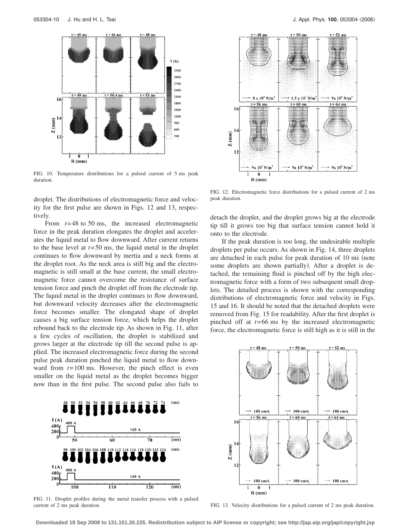

FIG. 10. Temperature distributions for a pulsed current of 5 ms peak duration.

droplet. The distributions of electromagnetic force and velocity for the first pulse are shown in Figs. 12 and 13, respectively.

From  $t=48$  to 50 ms, the increased electromagnetic force in the peak duration elongates the droplet and accelerates the liquid metal to flow downward. After current returns to the base level at  $t = 50$  ms, the liquid metal in the droplet continues to flow downward by inertia and a neck forms at the droplet root. As the neck area is still big and the electromagnetic is still small at the base current, the small electromagnetic force cannot overcome the resistance of surface tension force and pinch the droplet off from the electrode tip. The liquid metal in the droplet continues to flow downward, but downward velocity decreases after the electromagnetic force becomes smaller. The elongated shape of droplet causes a big surface tension force, which helps the droplet rebound back to the electrode tip. As shown in Fig. 11, after a few cycles of oscillation, the droplet is stabilized and grows larger at the electrode tip till the second pulse is applied. The increased electromagnetic force during the second pulse peak duration pinched the liquid metal to flow downward from  $t = 100$  ms. However, the pinch effect is even smaller on the liquid metal as the droplet becomes bigger now than in the first pulse. The second pulse also fails to



FIG. 11. Droplet profiles during the metal transfer process with a pulsed current of 2 ms peak duration.



FIG. 12. Electromagnetic force distributions for a pulsed current of 2 ms peak duration.

detach the droplet, and the droplet grows big at the electrode tip till it grows too big that surface tension cannot hold it onto to the electrode.

If the peak duration is too long, the undesirable multiple droplets per pulse occurs. As shown in Fig. 14, three droplets are detached in each pulse for peak duration of 10 ms (note some droplets are shown partially). After a droplet is detached, the remaining fluid is pinched off by the high electromagnetic force with a form of two subsequent small droplets. The detailed process is shown with the corresponding distributions of electromagnetic force and velocity in Figs. 15 and 16. It should be noted that the detached droplets were removed from Fig. 15 for readability. After the first droplet is pinched off at *t*= 66 ms by the increased electromagnetic force, the electromagnetic force is still high as it is still in the



FIG. 13. Velocity distributions for a pulsed current of 2 ms peak duration.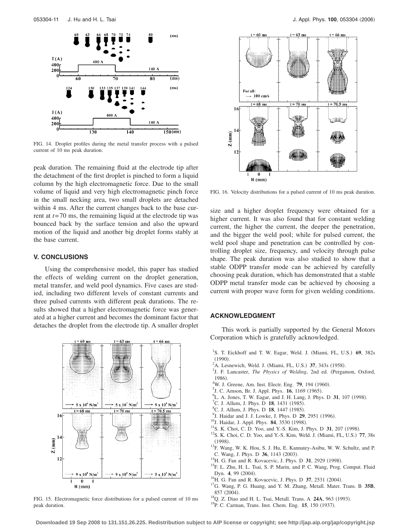

FIG. 14. Droplet profiles during the metal transfer process with a pulsed current of 10 ms peak duration.

peak duration. The remaining fluid at the electrode tip after the detachment of the first droplet is pinched to form a liquid column by the high electromagnetic force. Due to the small volume of liquid and very high electromagnetic pinch force in the small necking area, two small droplets are detached within 4 ms. After the current changes back to the base current at *t*= 70 ms, the remaining liquid at the electrode tip was bounced back by the surface tension and also the upward motion of the liquid and another big droplet forms stably at the base current.

# **V. CONCLUSIONS**

Using the comprehensive model, this paper has studied the effects of welding current on the droplet generation, metal transfer, and weld pool dynamics. Five cases are studied, including two different levels of constant currents and three pulsed currents with different peak durations. The results showed that a higher electromagnetic force was generated at a higher current and becomes the dominant factor that detaches the droplet from the electrode tip. A smaller droplet



FIG. 15. Electromagnetic force distributions for a pulsed current of 10 ms peak duration.



FIG. 16. Velocity distributions for a pulsed current of 10 ms peak duration.

size and a higher droplet frequency were obtained for a higher current. It was also found that for constant welding current, the higher the current, the deeper the penetration, and the bigger the weld pool; while for pulsed current, the weld pool shape and penetration can be controlled by controlling droplet size, frequency, and velocity through pulse shape. The peak duration was also studied to show that a stable ODPP transfer mode can be achieved by carefully choosing peak duration, which has demonstrated that a stable ODPP metal transfer mode can be achieved by choosing a current with proper wave form for given welding conditions.

# **ACKNOWLEDGMENT**

This work is partially supported by the General Motors Corporation which is gratefully acknowledged.

- <sup>1</sup>S. T. Eickhoff and T. W. Eagar, Weld. J. (Miami, FL, U.S.) 69, 382s  $^{(1990)}_{2\text{A} \text{I} \text{.} 299}$
- <sup>2</sup>A. Lesnewich, Weld. J. (Miami, FL, U.S.) **37**, 343s (1958).
- <sup>3</sup>J. F. Lancaster, *The Physics of Welding*, 2nd ed. (Pergamon, Oxford,  $\frac{1986}{4 \times 1}$
- <sup>4</sup>W. J. Greene, Am. Inst. Electr. Eng. **79**, 194 (1960).
- <sup>5</sup>J. C. Amson, Br. J. Appl. Phys. **16**, 1169 (1965).
- <sup>6</sup>L. A. Jones, T. W. Eagar, and J. H. Lang, J. Phys. D **31**, 107 (1998).
- <sup>7</sup>C. J. Allum, J. Phys. D **18**, 1431 (1985).
- <sup>8</sup>C. J. Allum, J. Phys. D **18**, 1447 (1985).
- <sup>9</sup>J. Haidar and J. J. Lowke, J. Phys. D **29**, 2951 (1996).
- <sup>10</sup>J. Haidar, J. Appl. Phys. **84**, 3530 (1998).
- <sup>11</sup>S. K. Choi, C. D. Yoo, and Y.-S. Kim, J. Phys. D **31**, 207 (1998).
- <sup>11</sup>S. K. Choi, C. D. Yoo, and Y.-S. Kim, J. Phys. D **31**, 207 (1998).<br><sup>12</sup>S. K. Choi, C. D. Yoo, and Y.-S. Kim, Weld. J. (Miami, FL, U.S.) **77**, 38s  $(1998)$
- <sup>13</sup>F. Wang, W. K. Hou, S. J. Hu, E. Kannatey-Asibu, W. W. Schultz, and P. C. Wang, J. Phys. D 36, 1143 (2003).
- <sup>14</sup>H. G. Fan and R. Kovacevic, J. Phys. D **31**, 2929 (1998).
- <sup>15</sup>F. L. Zhu, H. L. Tsai, S. P. Marin, and P. C. Wang, Prog. Comput. Fluid Dyn. 4, 99 (2004).
- <sup>16</sup>H. G. Fan and R. Kovacevic, J. Phys. D **37**, 2531 (2004).
- <sup>17</sup>G. Wang, P. G. Huang, and Y. M. Zhang, Metall. Mater. Trans. B 35B,  $857(2004)$ 1857 (2004).<br><sup>18</sup>Q. Z. Diao and H. L. Tsai, Metall. Trans. A **24A**, 963 (1993)
- <sup>1°</sup>Q. Z. Diao and H. L. Tsai, Metall. Trans. A **24A**, 963 (1993).<br><sup>19</sup>P. C. Carman, Trans. Inst. Chem. Eng. **15**, 150 (1937).
- <sup>19</sup>P. C. Carman, Trans. Inst. Chem. Eng. **15**, 150 (1937).